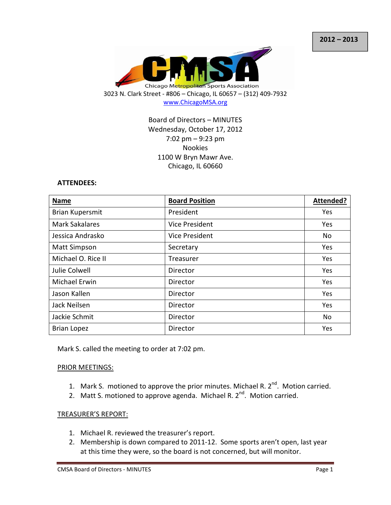

Board of Directors – MINUTES Wednesday, October 17, 2012 7:02 pm – 9:23 pm Nookies 1100 W Bryn Mawr Ave. Chicago, IL 60660

#### ATTENDEES:

| <b>Name</b>            | <b>Board Position</b> | Attended? |
|------------------------|-----------------------|-----------|
| <b>Brian Kupersmit</b> | President             | Yes       |
| <b>Mark Sakalares</b>  | Vice President        | Yes       |
| Jessica Andrasko       | Vice President        | <b>No</b> |
| <b>Matt Simpson</b>    | Secretary             | Yes       |
| Michael O. Rice II     | Treasurer             | Yes       |
| Julie Colwell          | Director              | Yes       |
| <b>Michael Erwin</b>   | Director              | Yes       |
| Jason Kallen           | Director              | Yes       |
| Jack Neilsen           | Director              | Yes       |
| Jackie Schmit          | Director              | No        |
| <b>Brian Lopez</b>     | Director              | Yes       |

Mark S. called the meeting to order at 7:02 pm.

#### PRIOR MEETINGS:

- 1. Mark S. motioned to approve the prior minutes. Michael R.  $2^{nd}$ . Motion carried.
- 2. Matt S. motioned to approve agenda. Michael R.  $2^{nd}$ . Motion carried.

### TREASURER'S REPORT:

- 1. Michael R. reviewed the treasurer's report.
- 2. Membership is down compared to 2011-12. Some sports aren't open, last year at this time they were, so the board is not concerned, but will monitor.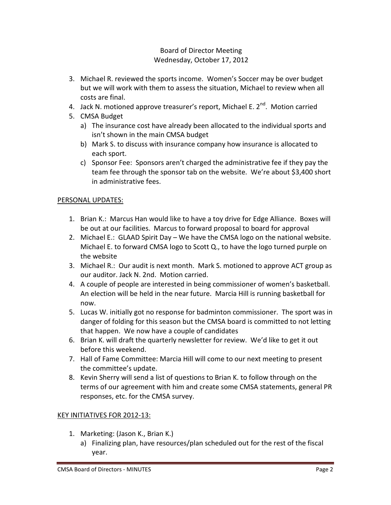- 3. Michael R. reviewed the sports income. Women's Soccer may be over budget but we will work with them to assess the situation, Michael to review when all costs are final.
- 4. Jack N. motioned approve treasurer's report, Michael E. 2<sup>nd</sup>. Motion carried
- 5. CMSA Budget
	- a) The insurance cost have already been allocated to the individual sports and isn't shown in the main CMSA budget
	- b) Mark S. to discuss with insurance company how insurance is allocated to each sport.
	- c) Sponsor Fee: Sponsors aren't charged the administrative fee if they pay the team fee through the sponsor tab on the website. We're about \$3,400 short in administrative fees.

## PERSONAL UPDATES:

- 1. Brian K.: Marcus Han would like to have a toy drive for Edge Alliance. Boxes will be out at our facilities. Marcus to forward proposal to board for approval
- 2. Michael E.: GLAAD Spirit Day We have the CMSA logo on the national website. Michael E. to forward CMSA logo to Scott Q., to have the logo turned purple on the website
- 3. Michael R.: Our audit is next month. Mark S. motioned to approve ACT group as our auditor. Jack N. 2nd. Motion carried.
- 4. A couple of people are interested in being commissioner of women's basketball. An election will be held in the near future. Marcia Hill is running basketball for now.
- 5. Lucas W. initially got no response for badminton commissioner. The sport was in danger of folding for this season but the CMSA board is committed to not letting that happen. We now have a couple of candidates
- 6. Brian K. will draft the quarterly newsletter for review. We'd like to get it out before this weekend.
- 7. Hall of Fame Committee: Marcia Hill will come to our next meeting to present the committee's update.
- 8. Kevin Sherry will send a list of questions to Brian K. to follow through on the terms of our agreement with him and create some CMSA statements, general PR responses, etc. for the CMSA survey.

## KEY INITIATIVES FOR 2012-13:

- 1. Marketing: (Jason K., Brian K.)
	- a) Finalizing plan, have resources/plan scheduled out for the rest of the fiscal year.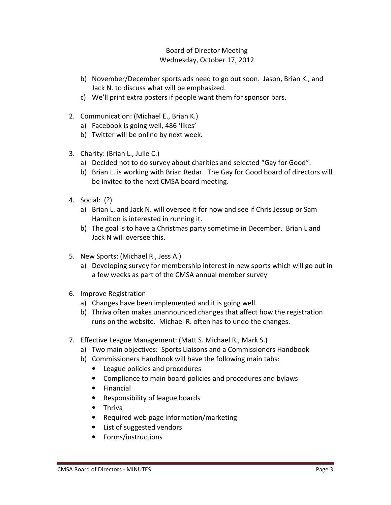- b) November/December sports ads need to go out soon. Jason, Brian K., and Jack N. to discuss what will be emphasized.
- c) We'll print extra posters if people want them for sponsor bars.
- 2. Communication: (Michael E., Brian K.)
	- a) Facebook is going well, 486 'likes'
	- b) Twitter will be online by next week.
- 3. Charity: (Brian L., Julie C.)
	- a) Decided not to do survey about charities and selected "Gay for Good".
	- b) Brian L. is working with Brian Redar. The Gay for Good board of directors will be invited to the next CMSA board meeting.
- 4. Social: (?)
	- a) Brian L. and Jack N. will oversee it for now and see if Chris Jessup or Sam Hamilton is interested in running it.
	- b) The goal is to have a Christmas party sometime in December. Brian L and Jack N will oversee this.
- 5. New Sports: (Michael R., Jess A.)
	- a) Developing survey for membership interest in new sports which will go out in a few weeks as part of the CMSA annual member survey
- 6. Improve Registration
	- a) Changes have been implemented and it is going well.
	- b) Thriva often makes unannounced changes that affect how the registration runs on the website. Michael R. often has to undo the changes.
- 7. Effective League Management: (Matt S. Michael R., Mark S.)
	- a) Two main objectives: Sports Liaisons and a Commissioners Handbook
	- b) Commissioners Handbook will have the following main tabs:
		- League policies and procedures
		- Compliance to main board policies and procedures and bylaws
		- Financial
		- Responsibility of league boards
		- Thriva
		- Required web page information/marketing
		- List of suggested vendors
		- Forms/instructions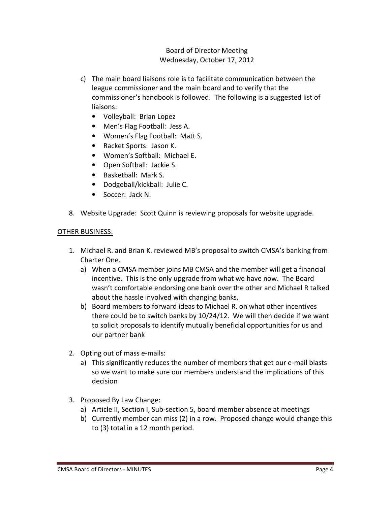- c) The main board liaisons role is to facilitate communication between the league commissioner and the main board and to verify that the commissioner's handbook is followed. The following is a suggested list of liaisons:
	- Volleyball: Brian Lopez
	- Men's Flag Football: Jess A.
	- Women's Flag Football: Matt S.
	- Racket Sports: Jason K.
	- Women's Softball: Michael E.
	- Open Softball: Jackie S.
	- Basketball: Mark S.
	- Dodgeball/kickball: Julie C.
	- Soccer: Jack N.
- 8. Website Upgrade: Scott Quinn is reviewing proposals for website upgrade.

### OTHER BUSINESS:

- 1. Michael R. and Brian K. reviewed MB's proposal to switch CMSA's banking from Charter One.
	- a) When a CMSA member joins MB CMSA and the member will get a financial incentive. This is the only upgrade from what we have now. The Board wasn't comfortable endorsing one bank over the other and Michael R talked about the hassle involved with changing banks.
	- b) Board members to forward ideas to Michael R. on what other incentives there could be to switch banks by 10/24/12. We will then decide if we want to solicit proposals to identify mutually beneficial opportunities for us and our partner bank
- 2. Opting out of mass e-mails:
	- a) This significantly reduces the number of members that get our e-mail blasts so we want to make sure our members understand the implications of this decision
- 3. Proposed By Law Change:
	- a) Article II, Section I, Sub-section 5, board member absence at meetings
	- b) Currently member can miss (2) in a row. Proposed change would change this to (3) total in a 12 month period.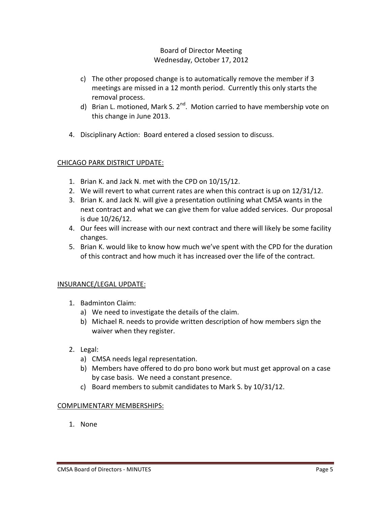- c) The other proposed change is to automatically remove the member if 3 meetings are missed in a 12 month period. Currently this only starts the removal process.
- d) Brian L. motioned, Mark S.  $2^{nd}$ . Motion carried to have membership vote on this change in June 2013.
- 4. Disciplinary Action: Board entered a closed session to discuss.

## CHICAGO PARK DISTRICT UPDATE:

- 1. Brian K. and Jack N. met with the CPD on 10/15/12.
- 2. We will revert to what current rates are when this contract is up on 12/31/12.
- 3. Brian K. and Jack N. will give a presentation outlining what CMSA wants in the next contract and what we can give them for value added services. Our proposal is due 10/26/12.
- 4. Our fees will increase with our next contract and there will likely be some facility changes.
- 5. Brian K. would like to know how much we've spent with the CPD for the duration of this contract and how much it has increased over the life of the contract.

## INSURANCE/LEGAL UPDATE:

- 1. Badminton Claim:
	- a) We need to investigate the details of the claim.
	- b) Michael R. needs to provide written description of how members sign the waiver when they register.
- 2. Legal:
	- a) CMSA needs legal representation.
	- b) Members have offered to do pro bono work but must get approval on a case by case basis. We need a constant presence.
	- c) Board members to submit candidates to Mark S. by 10/31/12.

## COMPLIMENTARY MEMBERSHIPS:

1. None